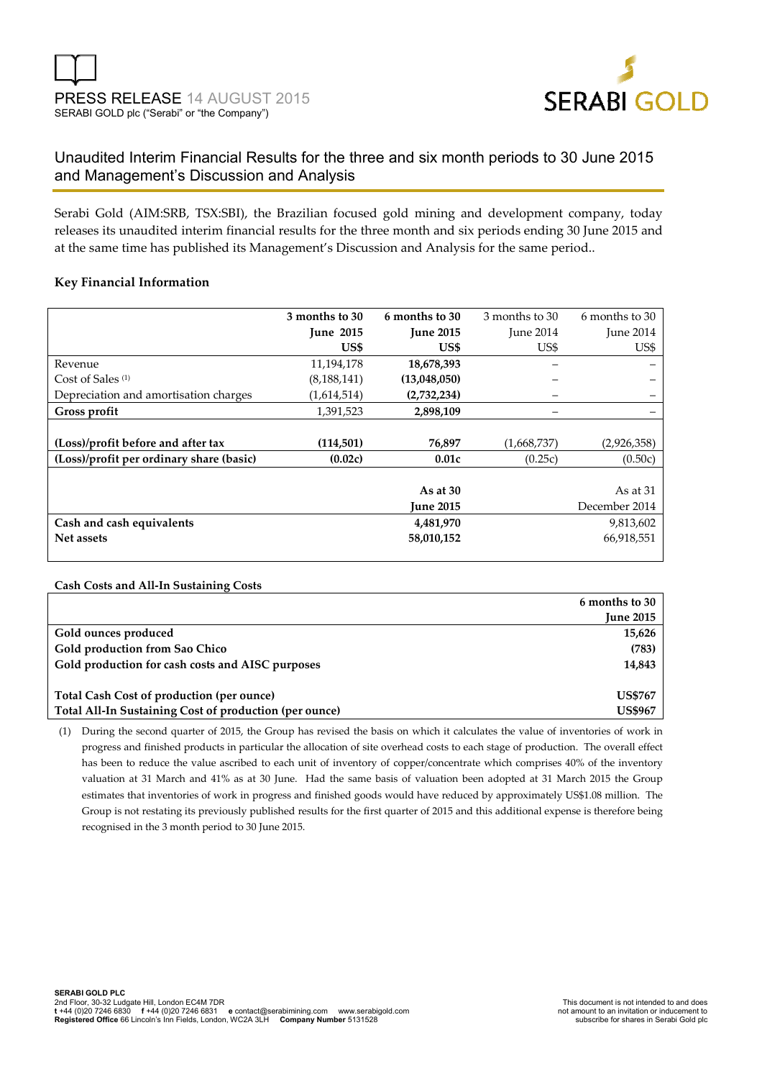

# Unaudited Interim Financial Results for the three and six month periods to 30 June 2015 and Management's Discussion and Analysis

Serabi Gold (AIM:SRB, TSX:SBI), the Brazilian focused gold mining and development company, today releases its unaudited interim financial results for the three month and six periods ending 30 June 2015 and at the same time has published its Management's Discussion and Analysis for the same period..

# **Key Financial Information**

|                                          | 3 months to 30   | 6 months to 30   | 3 months to 30   | 6 months to 30   |
|------------------------------------------|------------------|------------------|------------------|------------------|
|                                          | <b>June 2015</b> | <b>June 2015</b> | <b>June 2014</b> | <b>Iune 2014</b> |
|                                          | US\$             | US\$             | US\$             | US\$             |
| Revenue                                  | 11,194,178       | 18,678,393       |                  |                  |
| Cost of Sales <sup>(1)</sup>             | (8, 188, 141)    | (13,048,050)     |                  |                  |
| Depreciation and amortisation charges    | (1,614,514)      | (2,732,234)      |                  | -                |
| Gross profit                             | 1,391,523        | 2,898,109        |                  |                  |
|                                          |                  |                  |                  |                  |
| (Loss)/profit before and after tax       | (114,501)        | 76,897           | (1,668,737)      | (2,926,358)      |
| (Loss)/profit per ordinary share (basic) | (0.02c)          | 0.01c            | (0.25c)          | (0.50c)          |
|                                          |                  |                  |                  |                  |
|                                          |                  | As at $30$       |                  | As at $31$       |
|                                          |                  | <b>June 2015</b> |                  | December 2014    |
| Cash and cash equivalents                |                  | 4,481,970        |                  | 9,813,602        |
| Net assets                               |                  | 58,010,152       |                  | 66,918,551       |
|                                          |                  |                  |                  |                  |

# **Cash Costs and All-In Sustaining Costs**

|                                                        | 6 months to 30   |
|--------------------------------------------------------|------------------|
|                                                        | <b>June 2015</b> |
| Gold ounces produced                                   | 15,626           |
| Gold production from Sao Chico                         | (783)            |
| Gold production for cash costs and AISC purposes       | 14,843           |
| Total Cash Cost of production (per ounce)              | <b>US\$767</b>   |
| Total All-In Sustaining Cost of production (per ounce) | <b>US\$967</b>   |

(1) During the second quarter of 2015, the Group has revised the basis on which it calculates the value of inventories of work in progress and finished products in particular the allocation of site overhead costs to each stage of production. The overall effect has been to reduce the value ascribed to each unit of inventory of copper/concentrate which comprises 40% of the inventory valuation at 31 March and 41% as at 30 June. Had the same basis of valuation been adopted at 31 March 2015 the Group estimates that inventories of work in progress and finished goods would have reduced by approximately US\$1.08 million. The Group is not restating its previously published results for the first quarter of 2015 and this additional expense is therefore being recognised in the 3 month period to 30 June 2015.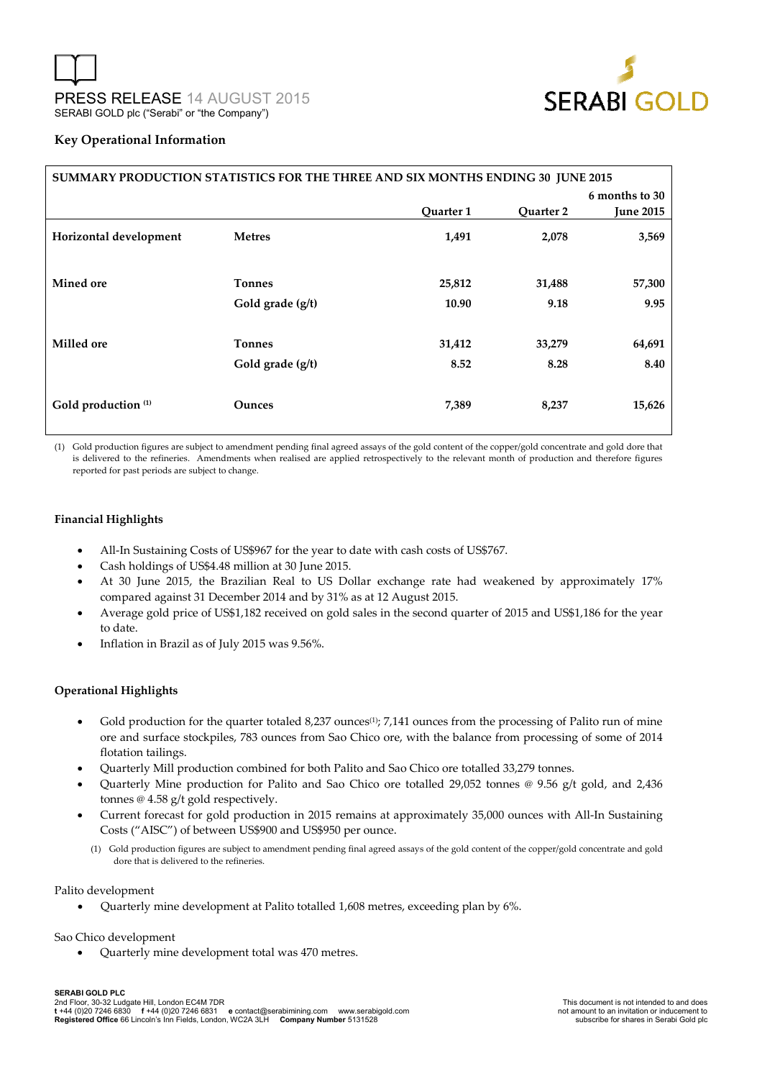

# **Key Operational Information**

| SUMMARY PRODUCTION STATISTICS FOR THE THREE AND SIX MONTHS ENDING 30 JUNE 2015 |                  |           |           |                  |  |
|--------------------------------------------------------------------------------|------------------|-----------|-----------|------------------|--|
|                                                                                |                  |           |           | 6 months to 30   |  |
|                                                                                |                  | Quarter 1 | Quarter 2 | <b>June 2015</b> |  |
| Horizontal development                                                         | <b>Metres</b>    | 1,491     | 2,078     | 3,569            |  |
| Mined ore                                                                      | Tonnes           | 25,812    | 31,488    | 57,300           |  |
|                                                                                | Gold grade (g/t) | 10.90     | 9.18      | 9.95             |  |
|                                                                                |                  |           |           |                  |  |
| Milled ore                                                                     | <b>Tonnes</b>    | 31,412    | 33,279    | 64,691           |  |
|                                                                                | Gold grade (g/t) | 8.52      | 8.28      | 8.40             |  |
| Gold production <sup>(1)</sup>                                                 | <b>Ounces</b>    | 7,389     | 8,237     | 15,626           |  |

(1) Gold production figures are subject to amendment pending final agreed assays of the gold content of the copper/gold concentrate and gold dore that is delivered to the refineries. Amendments when realised are applied retrospectively to the relevant month of production and therefore figures reported for past periods are subject to change.

## **Financial Highlights**

- All-In Sustaining Costs of US\$967 for the year to date with cash costs of US\$767.
- Cash holdings of US\$4.48 million at 30 June 2015.
- At 30 June 2015, the Brazilian Real to US Dollar exchange rate had weakened by approximately 17% compared against 31 December 2014 and by 31% as at 12 August 2015.
- Average gold price of US\$1,182 received on gold sales in the second quarter of 2015 and US\$1,186 for the year to date.
- Inflation in Brazil as of July 2015 was 9.56%.

## **Operational Highlights**

- Gold production for the quarter totaled 8,237 ounces<sup>(1)</sup>; 7,141 ounces from the processing of Palito run of mine ore and surface stockpiles, 783 ounces from Sao Chico ore, with the balance from processing of some of 2014 flotation tailings.
- Quarterly Mill production combined for both Palito and Sao Chico ore totalled 33,279 tonnes.
- Quarterly Mine production for Palito and Sao Chico ore totalled 29,052 tonnes @ 9.56 g/t gold, and 2,436 tonnes @ 4.58 g/t gold respectively.
- Current forecast for gold production in 2015 remains at approximately 35,000 ounces with All-In Sustaining Costs ("AISC") of between US\$900 and US\$950 per ounce.
- (1) Gold production figures are subject to amendment pending final agreed assays of the gold content of the copper/gold concentrate and gold dore that is delivered to the refineries.

Palito development

• Quarterly mine development at Palito totalled 1,608 metres, exceeding plan by 6%.

## Sao Chico development

• Quarterly mine development total was 470 metres.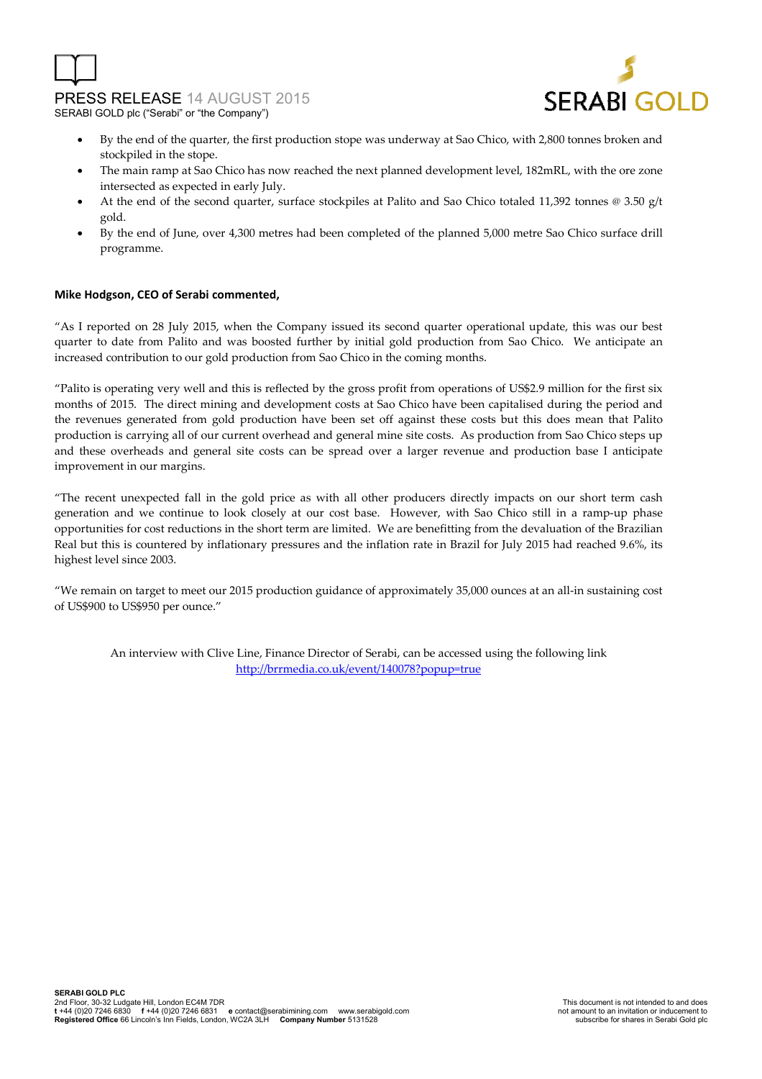# PRESS RELEASE 14 AUGUST 2015

SERABI GOLD plc ("Serabi" or "the Company")



- By the end of the quarter, the first production stope was underway at Sao Chico, with 2,800 tonnes broken and stockpiled in the stope.
- The main ramp at Sao Chico has now reached the next planned development level, 182mRL, with the ore zone intersected as expected in early July.
- At the end of the second quarter, surface stockpiles at Palito and Sao Chico totaled 11,392 tonnes @ 3.50 g/t gold.
- By the end of June, over 4,300 metres had been completed of the planned 5,000 metre Sao Chico surface drill programme.

## **Mike Hodgson, CEO of Serabi commented,**

"As I reported on 28 July 2015, when the Company issued its second quarter operational update, this was our best quarter to date from Palito and was boosted further by initial gold production from Sao Chico. We anticipate an increased contribution to our gold production from Sao Chico in the coming months.

"Palito is operating very well and this is reflected by the gross profit from operations of US\$2.9 million for the first six months of 2015. The direct mining and development costs at Sao Chico have been capitalised during the period and the revenues generated from gold production have been set off against these costs but this does mean that Palito production is carrying all of our current overhead and general mine site costs. As production from Sao Chico steps up and these overheads and general site costs can be spread over a larger revenue and production base I anticipate improvement in our margins.

"The recent unexpected fall in the gold price as with all other producers directly impacts on our short term cash generation and we continue to look closely at our cost base. However, with Sao Chico still in a ramp-up phase opportunities for cost reductions in the short term are limited. We are benefitting from the devaluation of the Brazilian Real but this is countered by inflationary pressures and the inflation rate in Brazil for July 2015 had reached 9.6%, its highest level since 2003.

"We remain on target to meet our 2015 production guidance of approximately 35,000 ounces at an all-in sustaining cost of US\$900 to US\$950 per ounce."

An interview with Clive Line, Finance Director of Serabi, can be accessed using the following link http://brrmedia.co.uk/event/140078?popup=true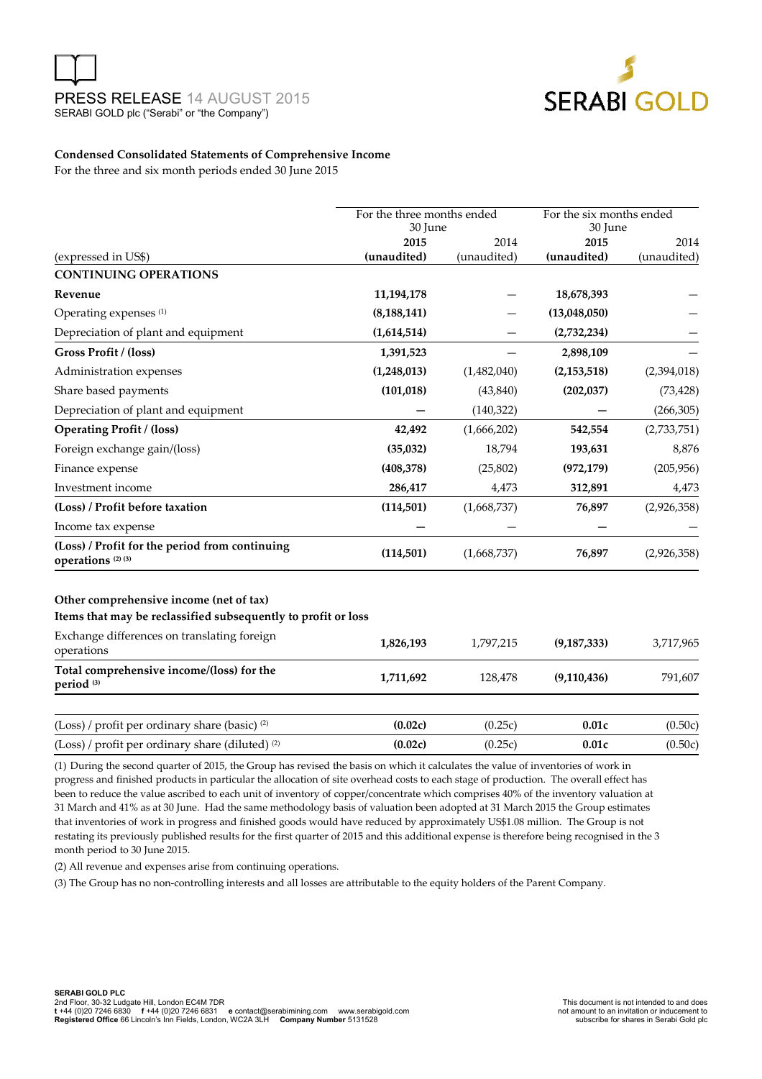

### **Condensed Consolidated Statements of Comprehensive Income**

For the three and six month periods ended 30 June 2015

|                                                                                | For the three months ended<br>30 June |             | For the six months ended<br>30 June |             |
|--------------------------------------------------------------------------------|---------------------------------------|-------------|-------------------------------------|-------------|
|                                                                                | 2015                                  | 2014        | 2015                                | 2014        |
| (expressed in US\$)                                                            | (unaudited)                           | (unaudited) | (unaudited)                         | (unaudited) |
| <b>CONTINUING OPERATIONS</b>                                                   |                                       |             |                                     |             |
| Revenue                                                                        | 11,194,178                            |             | 18,678,393                          |             |
| Operating expenses <sup>(1)</sup>                                              | (8, 188, 141)                         |             | (13,048,050)                        |             |
| Depreciation of plant and equipment                                            | (1,614,514)                           |             | (2,732,234)                         |             |
| Gross Profit / (loss)                                                          | 1,391,523                             |             | 2,898,109                           |             |
| Administration expenses                                                        | (1,248,013)                           | (1,482,040) | (2, 153, 518)                       | (2,394,018) |
| Share based payments                                                           | (101, 018)                            | (43, 840)   | (202, 037)                          | (73, 428)   |
| Depreciation of plant and equipment                                            |                                       | (140, 322)  |                                     | (266, 305)  |
| <b>Operating Profit / (loss)</b>                                               | 42,492                                | (1,666,202) | 542,554                             | (2,733,751) |
| Foreign exchange gain/(loss)                                                   | (35,032)                              | 18,794      | 193,631                             | 8,876       |
| Finance expense                                                                | (408, 378)                            | (25, 802)   | (972, 179)                          | (205, 956)  |
| Investment income                                                              | 286,417                               | 4,473       | 312,891                             | 4,473       |
| (Loss) / Profit before taxation                                                | (114, 501)                            | (1,668,737) | 76,897                              | (2,926,358) |
| Income tax expense                                                             |                                       |             |                                     |             |
| (Loss) / Profit for the period from continuing<br>operations <sup>(2)(3)</sup> | (114, 501)                            | (1,668,737) | 76,897                              | (2,926,358) |
| Other comprehensive income (net of tax)                                        |                                       |             |                                     |             |
| Items that may be reclassified subsequently to profit or loss                  |                                       |             |                                     |             |
| Exchange differences on translating foreign<br>operations                      | 1,826,193                             | 1,797,215   | (9, 187, 333)                       | 3,717,965   |
| Total comprehensive income/(loss) for the<br>period <sup>(3)</sup>             | 1,711,692                             | 128,478     | (9,110,436)                         | 791,607     |
| (Loss) / profit per ordinary share (basic) <sup>(2)</sup>                      | (0.02c)                               | (0.25c)     | 0.01c                               | (0.50c)     |
| (Loss) / profit per ordinary share (diluted) <sup>(2)</sup>                    | (0.02c)                               | (0.25c)     | 0.01c                               | (0.50c)     |

(1) During the second quarter of 2015, the Group has revised the basis on which it calculates the value of inventories of work in progress and finished products in particular the allocation of site overhead costs to each stage of production. The overall effect has been to reduce the value ascribed to each unit of inventory of copper/concentrate which comprises 40% of the inventory valuation at 31 March and 41% as at 30 June. Had the same methodology basis of valuation been adopted at 31 March 2015 the Group estimates that inventories of work in progress and finished goods would have reduced by approximately US\$1.08 million. The Group is not restating its previously published results for the first quarter of 2015 and this additional expense is therefore being recognised in the 3 month period to 30 June 2015.

(2) All revenue and expenses arise from continuing operations.

(3) The Group has no non-controlling interests and all losses are attributable to the equity holders of the Parent Company.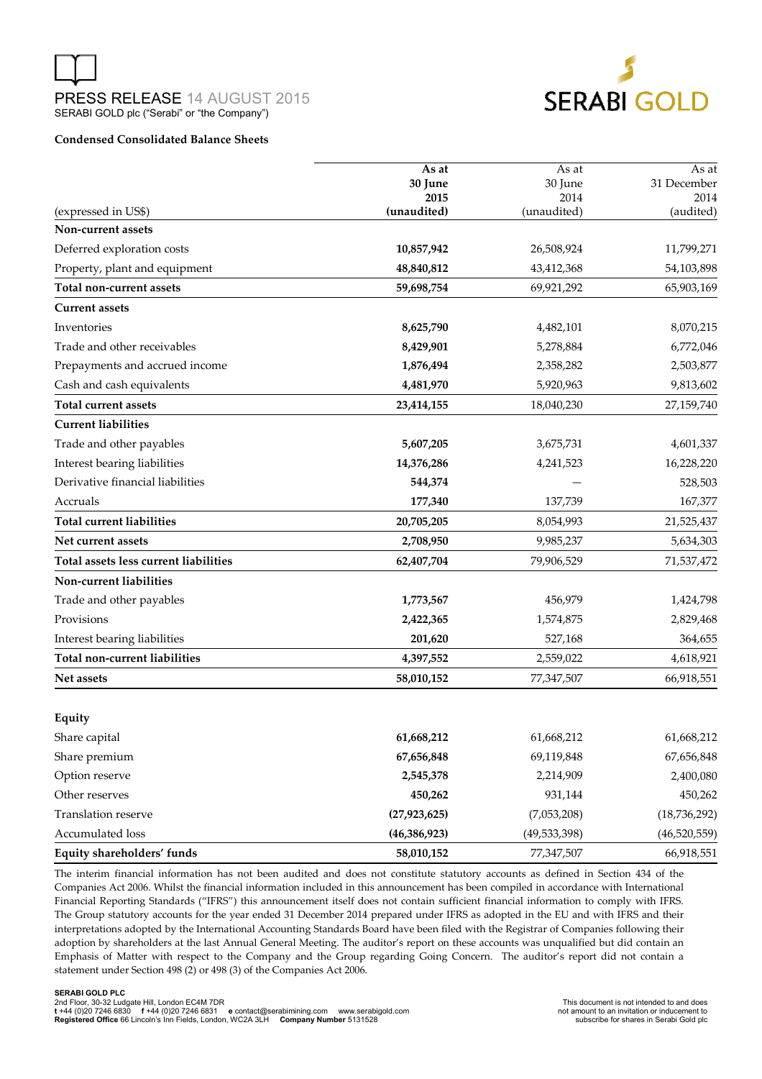

#### **Condensed Consolidated Balance Sheets**

|                                       | As at                         | As at          | As at          |
|---------------------------------------|-------------------------------|----------------|----------------|
|                                       | 30 June                       | 30 June        | 31 December    |
|                                       | 2015                          | 2014           | 2014           |
| (expressed in US\$)                   | (unaudited)                   | (unaudited)    | (audited)      |
| Non-current assets                    |                               |                |                |
| Deferred exploration costs            | 10,857,942                    | 26,508,924     | 11,799,271     |
| Property, plant and equipment         | 48,840,812                    | 43,412,368     | 54,103,898     |
| Total non-current assets              | 59,698,754                    | 69,921,292     | 65,903,169     |
| <b>Current assets</b>                 |                               |                |                |
| Inventories                           | 8,625,790                     | 4,482,101      | 8,070,215      |
| Trade and other receivables           | 8,429,901                     | 5,278,884      | 6,772,046      |
| Prepayments and accrued income        | 1,876,494                     | 2,358,282      | 2,503,877      |
| Cash and cash equivalents             | 4,481,970                     | 5,920,963      | 9,813,602      |
| <b>Total current assets</b>           | 23,414,155                    | 18,040,230     | 27,159,740     |
| <b>Current liabilities</b>            |                               |                |                |
| Trade and other payables              | 5,607,205                     | 3,675,731      | 4,601,337      |
| Interest bearing liabilities          | 14,376,286                    | 4,241,523      | 16,228,220     |
| Derivative financial liabilities      | 544,374                       |                | 528,503        |
| Accruals                              | 177,340                       | 137,739        | 167,377        |
| <b>Total current liabilities</b>      | 20,705,205                    | 8,054,993      | 21,525,437     |
| Net current assets                    | 2,708,950                     | 9,985,237      | 5,634,303      |
| Total assets less current liabilities | 62,407,704                    | 79,906,529     | 71,537,472     |
| Non-current liabilities               |                               |                |                |
| Trade and other payables              | 1,773,567                     | 456,979        | 1,424,798      |
| Provisions                            | 2,422,365                     | 1,574,875      | 2,829,468      |
| Interest bearing liabilities          | 201,620                       | 527,168        | 364,655        |
| Total non-current liabilities         | 4,397,552                     | 2,559,022      | 4,618,921      |
| Net assets                            | 58,010,152                    | 77,347,507     | 66,918,551     |
| Equity                                |                               |                |                |
| Share capital                         | 61,668,212                    | 61,668,212     | 61,668,212     |
| Share premium                         | 67,656,848                    | 69,119,848     | 67,656,848     |
| Option reserve                        | 2,545,378                     | 2,214,909      | 2,400,080      |
| Other reserves                        | 450,262                       | 931,144        | 450,262        |
| Translation reserve                   | (27, 923, 625)<br>(7,053,208) |                | (18, 736, 292) |
| Accumulated loss                      | (46, 386, 923)                | (49, 533, 398) | (46,520,559)   |
| Equity shareholders' funds            | 58,010,152                    | 77,347,507     | 66,918,551     |

The interim financial information has not been audited and does not constitute statutory accounts as defined in Section 434 of the Companies Act 2006. Whilst the financial information included in this announcement has been compiled in accordance with International Financial Reporting Standards ("IFRS") this announcement itself does not contain sufficient financial information to comply with IFRS. The Group statutory accounts for the year ended 31 December 2014 prepared under IFRS as adopted in the EU and with IFRS and their interpretations adopted by the International Accounting Standards Board have been filed with the Registrar of Companies following their adoption by shareholders at the last Annual General Meeting. The auditor's report on these accounts was unqualified but did contain an Emphasis of Matter with respect to the Company and the Group regarding Going Concern. The auditor's report did not contain a statement under Section 498 (2) or 498 (3) of the Companies Act 2006.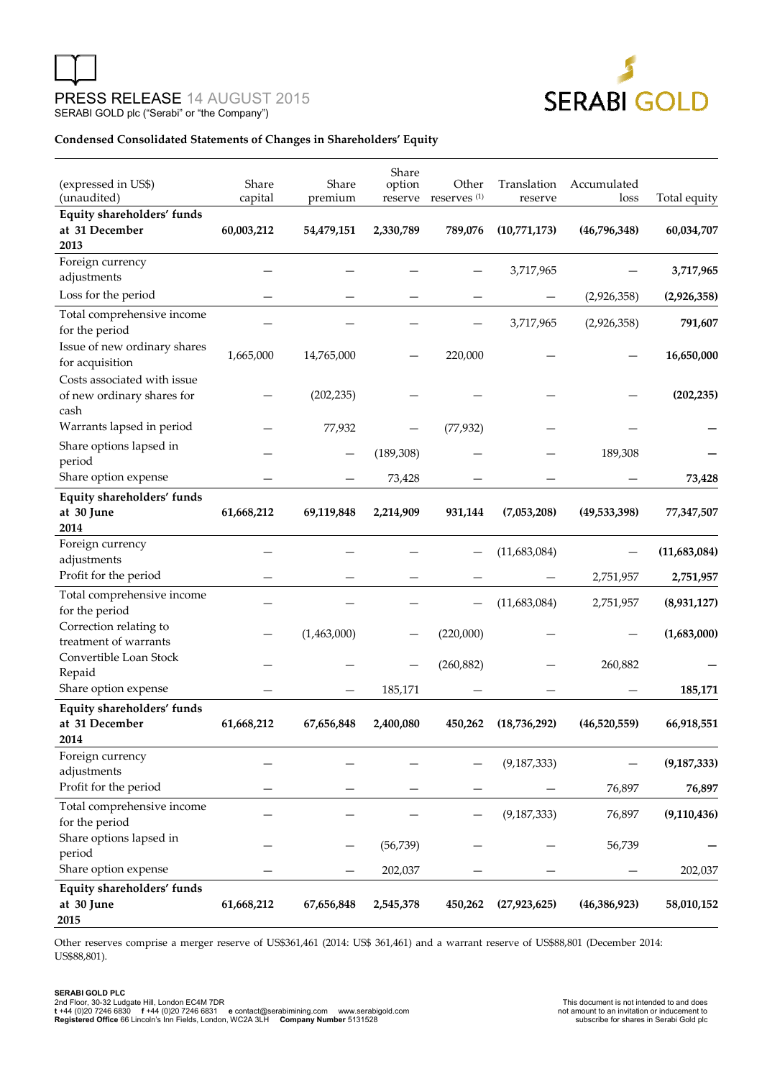

#### **Condensed Consolidated Statements of Changes in Shareholders' Equity**

| (expressed in US\$)<br>(unaudited)                                | Share<br>capital | Share<br>premium | Share<br>option<br>reserve | Other<br>reserves <sup>(1)</sup> | Translation<br>reserve | Accumulated<br>loss | Total equity              |
|-------------------------------------------------------------------|------------------|------------------|----------------------------|----------------------------------|------------------------|---------------------|---------------------------|
| Equity shareholders' funds<br>at 31 December<br>2013              | 60,003,212       | 54,479,151       | 2,330,789                  | 789,076                          | (10,771,173)           | (46,796,348)        | 60,034,707                |
| Foreign currency<br>adjustments                                   |                  |                  |                            |                                  | 3,717,965              |                     | 3,717,965                 |
| Loss for the period                                               |                  |                  |                            |                                  |                        | (2,926,358)         | (2,926,358)               |
| Total comprehensive income<br>for the period                      |                  |                  |                            |                                  | 3,717,965              | (2,926,358)         | 791,607                   |
| Issue of new ordinary shares<br>for acquisition                   | 1,665,000        | 14,765,000       |                            | 220,000                          |                        |                     | 16,650,000                |
| Costs associated with issue<br>of new ordinary shares for<br>cash |                  | (202, 235)       |                            |                                  |                        |                     | (202, 235)                |
| Warrants lapsed in period                                         |                  | 77,932           |                            | (77, 932)                        |                        |                     |                           |
| Share options lapsed in<br>period                                 |                  |                  | (189, 308)                 |                                  |                        | 189,308             |                           |
| Share option expense                                              |                  |                  | 73,428                     |                                  |                        |                     | 73,428                    |
| Equity shareholders' funds<br>at 30 June<br>2014                  | 61,668,212       | 69,119,848       | 2,214,909                  | 931,144                          | (7,053,208)            | (49, 533, 398)      | 77,347,507                |
| Foreign currency                                                  |                  |                  |                            |                                  |                        |                     |                           |
| adjustments<br>Profit for the period                              |                  |                  |                            |                                  | (11,683,084)           | 2,751,957           | (11,683,084)<br>2,751,957 |
| Total comprehensive income<br>for the period                      |                  |                  |                            |                                  | (11,683,084)           | 2,751,957           | (8,931,127)               |
| Correction relating to<br>treatment of warrants                   |                  | (1,463,000)      |                            | (220,000)                        |                        |                     | (1,683,000)               |
| Convertible Loan Stock<br>Repaid                                  |                  |                  |                            | (260, 882)                       |                        | 260,882             |                           |
| Share option expense                                              |                  |                  | 185,171                    |                                  |                        |                     | 185,171                   |
| Equity shareholders' funds<br>at 31 December<br>2014              | 61,668,212       | 67,656,848       | 2,400,080                  | 450,262                          | (18, 736, 292)         | (46,520,559)        | 66,918,551                |
| Foreign currency                                                  |                  |                  |                            |                                  | (9, 187, 333)          |                     | (9, 187, 333)             |
| adjustments<br>Profit for the period                              |                  |                  |                            |                                  |                        | 76,897              | 76,897                    |
| Total comprehensive income<br>for the period                      |                  |                  |                            |                                  | (9, 187, 333)          | 76,897              | (9, 110, 436)             |
| Share options lapsed in<br>period                                 |                  |                  | (56, 739)                  |                                  |                        | 56,739              |                           |
| Share option expense                                              |                  |                  | 202,037                    |                                  |                        |                     | 202,037                   |
| Equity shareholders' funds<br>at 30 June<br>2015                  | 61,668,212       | 67,656,848       | 2,545,378                  | 450,262                          | (27, 923, 625)         | (46,386,923)        | 58,010,152                |

Other reserves comprise a merger reserve of US\$361,461 (2014: US\$ 361,461) and a warrant reserve of US\$88,801 (December 2014: US\$88,801).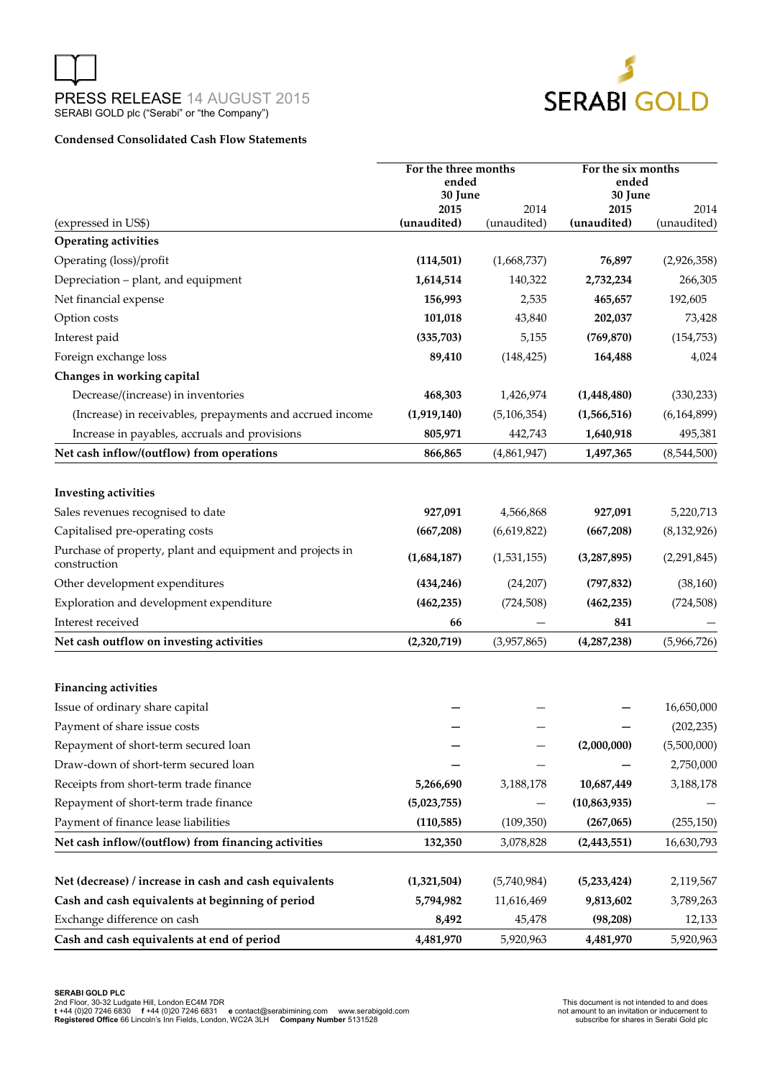

### **Condensed Consolidated Cash Flow Statements**

| 2015<br>2014<br>2015<br>(unaudited)<br>(unaudited)<br>(unaudited)<br>(expressed in US\$)<br>(unaudited)<br><b>Operating activities</b><br>Operating (loss)/profit<br>(114, 501)<br>(1,668,737)<br>76,897<br>(2,926,358)<br>Depreciation - plant, and equipment<br>1,614,514<br>140,322<br>2,732,234<br>266,305 |
|----------------------------------------------------------------------------------------------------------------------------------------------------------------------------------------------------------------------------------------------------------------------------------------------------------------|
|                                                                                                                                                                                                                                                                                                                |
|                                                                                                                                                                                                                                                                                                                |
|                                                                                                                                                                                                                                                                                                                |
|                                                                                                                                                                                                                                                                                                                |
| Net financial expense<br>156,993<br>2,535<br>192,605<br>465,657                                                                                                                                                                                                                                                |
| Option costs<br>101,018<br>43,840<br>202,037<br>73,428                                                                                                                                                                                                                                                         |
| Interest paid<br>(335,703)<br>5,155<br>(769, 870)<br>(154, 753)                                                                                                                                                                                                                                                |
| Foreign exchange loss<br>89,410<br>(148, 425)<br>164,488<br>4,024                                                                                                                                                                                                                                              |
| Changes in working capital                                                                                                                                                                                                                                                                                     |
| Decrease/(increase) in inventories<br>468,303<br>(1,448,480)<br>(330, 233)<br>1,426,974                                                                                                                                                                                                                        |
| (Increase) in receivables, prepayments and accrued income<br>(1,919,140)<br>(5, 106, 354)<br>(1,566,516)<br>(6, 164, 899)                                                                                                                                                                                      |
| Increase in payables, accruals and provisions<br>805,971<br>1,640,918<br>495,381<br>442,743                                                                                                                                                                                                                    |
| Net cash inflow/(outflow) from operations<br>866,865<br>(4,861,947)<br>(8,544,500)<br>1,497,365                                                                                                                                                                                                                |
|                                                                                                                                                                                                                                                                                                                |
| <b>Investing activities</b>                                                                                                                                                                                                                                                                                    |
| 927,091<br>4,566,868<br>927,091<br>5,220,713<br>Sales revenues recognised to date                                                                                                                                                                                                                              |
| Capitalised pre-operating costs<br>(667, 208)<br>(6,619,822)<br>(8, 132, 926)<br>(667,208)                                                                                                                                                                                                                     |
| Purchase of property, plant and equipment and projects in<br>(1,684,187)<br>(1,531,155)<br>(3, 287, 895)<br>(2,291,845)<br>construction                                                                                                                                                                        |
| Other development expenditures<br>(434, 246)<br>(797, 832)<br>(38, 160)<br>(24,207)                                                                                                                                                                                                                            |
| Exploration and development expenditure<br>(462, 235)<br>(462, 235)<br>(724, 508)<br>(724, 508)                                                                                                                                                                                                                |
| Interest received<br>841<br>66                                                                                                                                                                                                                                                                                 |
| (2,320,719)<br>Net cash outflow on investing activities<br>(3,957,865)<br>(4, 287, 238)<br>(5,966,726)                                                                                                                                                                                                         |
|                                                                                                                                                                                                                                                                                                                |
| <b>Financing activities</b>                                                                                                                                                                                                                                                                                    |
| Issue of ordinary share capital<br>16,650,000                                                                                                                                                                                                                                                                  |
| Payment of share issue costs<br>(202, 235)                                                                                                                                                                                                                                                                     |
| (2,000,000)<br>Repayment of short-term secured loan<br>(5,500,000)                                                                                                                                                                                                                                             |
| Draw-down of short-term secured loan<br>2,750,000                                                                                                                                                                                                                                                              |
| Receipts from short-term trade finance<br>5,266,690<br>3,188,178<br>10,687,449<br>3,188,178                                                                                                                                                                                                                    |
| Repayment of short-term trade finance<br>(5,023,755)<br>(10, 863, 935)                                                                                                                                                                                                                                         |
| Payment of finance lease liabilities<br>(109, 350)<br>(267,065)<br>(110, 585)<br>(255, 150)                                                                                                                                                                                                                    |
| Net cash inflow/(outflow) from financing activities<br>3,078,828<br>(2, 443, 551)<br>16,630,793<br>132,350                                                                                                                                                                                                     |
| Net (decrease) / increase in cash and cash equivalents<br>(1,321,504)<br>(5,740,984)<br>(5,233,424)<br>2,119,567                                                                                                                                                                                               |
| Cash and cash equivalents at beginning of period<br>11,616,469<br>9,813,602<br>5,794,982<br>3,789,263                                                                                                                                                                                                          |
| Exchange difference on cash<br>8,492<br>45,478<br>(98, 208)<br>12,133                                                                                                                                                                                                                                          |
| Cash and cash equivalents at end of period<br>4,481,970<br>5,920,963<br>5,920,963<br>4,481,970                                                                                                                                                                                                                 |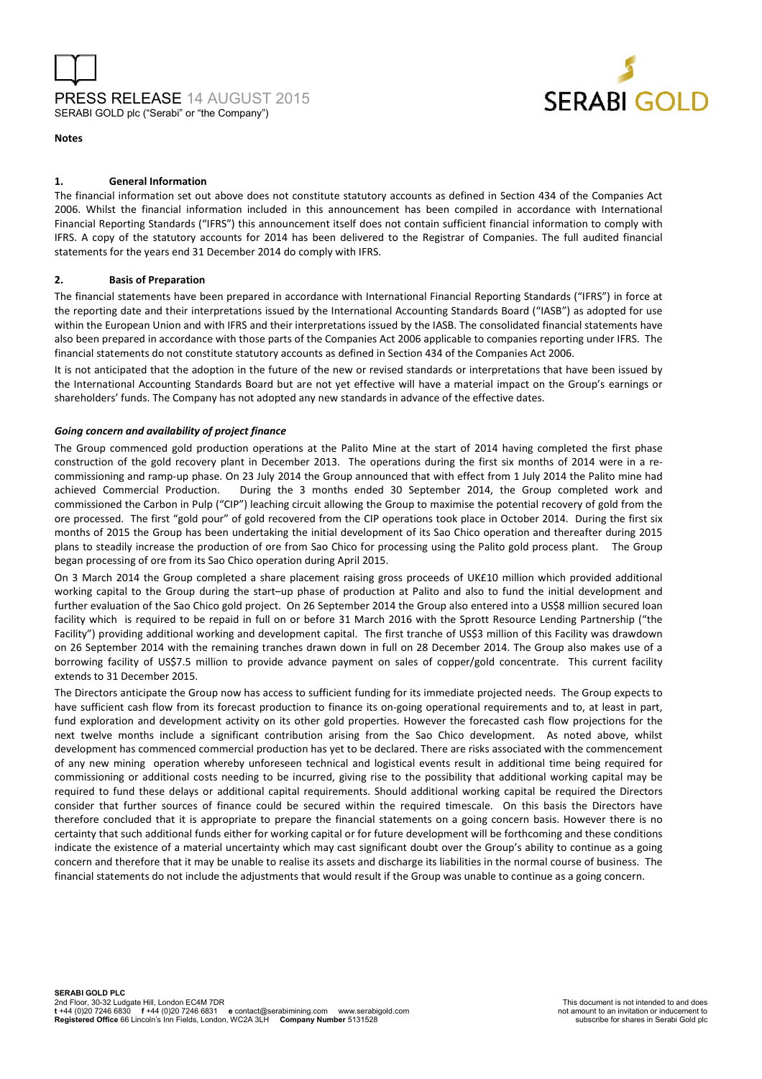#### **Notes**

#### **1. General Information**

The financial information set out above does not constitute statutory accounts as defined in Section 434 of the Companies Act 2006. Whilst the financial information included in this announcement has been compiled in accordance with International Financial Reporting Standards ("IFRS") this announcement itself does not contain sufficient financial information to comply with IFRS. A copy of the statutory accounts for 2014 has been delivered to the Registrar of Companies. The full audited financial statements for the years end 31 December 2014 do comply with IFRS.

#### **2. Basis of Preparation**

The financial statements have been prepared in accordance with International Financial Reporting Standards ("IFRS") in force at the reporting date and their interpretations issued by the International Accounting Standards Board ("IASB") as adopted for use within the European Union and with IFRS and their interpretations issued by the IASB. The consolidated financial statements have also been prepared in accordance with those parts of the Companies Act 2006 applicable to companies reporting under IFRS. The financial statements do not constitute statutory accounts as defined in Section 434 of the Companies Act 2006.

It is not anticipated that the adoption in the future of the new or revised standards or interpretations that have been issued by the International Accounting Standards Board but are not yet effective will have a material impact on the Group's earnings or shareholders' funds. The Company has not adopted any new standards in advance of the effective dates.

#### *Going concern and availability of project finance*

The Group commenced gold production operations at the Palito Mine at the start of 2014 having completed the first phase construction of the gold recovery plant in December 2013. The operations during the first six months of 2014 were in a recommissioning and ramp-up phase. On 23 July 2014 the Group announced that with effect from 1 July 2014 the Palito mine had achieved Commercial Production. During the 3 months ended 30 September 2014, the Group completed work and commissioned the Carbon in Pulp ("CIP") leaching circuit allowing the Group to maximise the potential recovery of gold from the ore processed. The first "gold pour" of gold recovered from the CIP operations took place in October 2014. During the first six months of 2015 the Group has been undertaking the initial development of its Sao Chico operation and thereafter during 2015 plans to steadily increase the production of ore from Sao Chico for processing using the Palito gold process plant. The Group began processing of ore from its Sao Chico operation during April 2015.

On 3 March 2014 the Group completed a share placement raising gross proceeds of UK£10 million which provided additional working capital to the Group during the start–up phase of production at Palito and also to fund the initial development and further evaluation of the Sao Chico gold project. On 26 September 2014 the Group also entered into a US\$8 million secured loan facility which is required to be repaid in full on or before 31 March 2016 with the Sprott Resource Lending Partnership ("the Facility") providing additional working and development capital. The first tranche of US\$3 million of this Facility was drawdown on 26 September 2014 with the remaining tranches drawn down in full on 28 December 2014. The Group also makes use of a borrowing facility of US\$7.5 million to provide advance payment on sales of copper/gold concentrate. This current facility extends to 31 December 2015.

The Directors anticipate the Group now has access to sufficient funding for its immediate projected needs. The Group expects to have sufficient cash flow from its forecast production to finance its on-going operational requirements and to, at least in part, fund exploration and development activity on its other gold properties. However the forecasted cash flow projections for the next twelve months include a significant contribution arising from the Sao Chico development. As noted above, whilst development has commenced commercial production has yet to be declared. There are risks associated with the commencement of any new mining operation whereby unforeseen technical and logistical events result in additional time being required for commissioning or additional costs needing to be incurred, giving rise to the possibility that additional working capital may be required to fund these delays or additional capital requirements. Should additional working capital be required the Directors consider that further sources of finance could be secured within the required timescale. On this basis the Directors have therefore concluded that it is appropriate to prepare the financial statements on a going concern basis. However there is no certainty that such additional funds either for working capital or for future development will be forthcoming and these conditions indicate the existence of a material uncertainty which may cast significant doubt over the Group's ability to continue as a going concern and therefore that it may be unable to realise its assets and discharge its liabilities in the normal course of business. The financial statements do not include the adjustments that would result if the Group was unable to continue as a going concern.

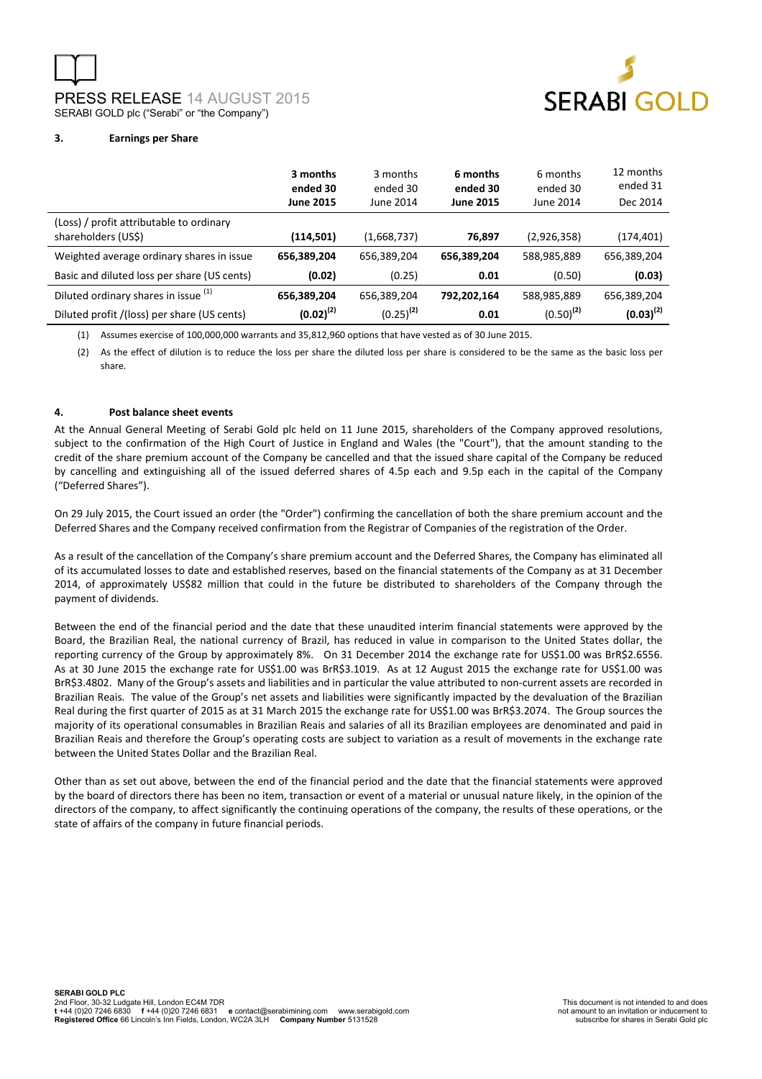

#### **3. Earnings per Share**

|                                                                 | 3 months<br>ended 30<br><b>June 2015</b> | 3 months<br>ended 30<br>June 2014 | 6 months<br>ended 30<br><b>June 2015</b> | 6 months<br>ended 30<br>June 2014 | 12 months<br>ended 31<br>Dec 2014 |
|-----------------------------------------------------------------|------------------------------------------|-----------------------------------|------------------------------------------|-----------------------------------|-----------------------------------|
| (Loss) / profit attributable to ordinary<br>shareholders (US\$) | (114, 501)                               | (1,668,737)                       | 76,897                                   | (2,926,358)                       | (174, 401)                        |
| Weighted average ordinary shares in issue                       | 656,389,204                              | 656,389,204                       | 656,389,204                              | 588,985,889                       | 656,389,204                       |
| Basic and diluted loss per share (US cents)                     | (0.02)                                   | (0.25)                            | 0.01                                     | (0.50)                            | (0.03)                            |
| Diluted ordinary shares in issue (1)                            | 656,389,204                              | 656,389,204                       | 792,202,164                              | 588,985,889                       | 656,389,204                       |
| Diluted profit /(loss) per share (US cents)                     | $(0.02)^{(2)}$                           | $(0.25)^{(2)}$                    | 0.01                                     | $(0.50)^{(2)}$                    | $(0.03)^{(2)}$                    |

(1) Assumes exercise of 100,000,000 warrants and 35,812,960 options that have vested as of 30 June 2015.

(2) As the effect of dilution is to reduce the loss per share the diluted loss per share is considered to be the same as the basic loss per share.

#### **4. Post balance sheet events**

At the Annual General Meeting of Serabi Gold plc held on 11 June 2015, shareholders of the Company approved resolutions, subject to the confirmation of the High Court of Justice in England and Wales (the "Court"), that the amount standing to the credit of the share premium account of the Company be cancelled and that the issued share capital of the Company be reduced by cancelling and extinguishing all of the issued deferred shares of 4.5p each and 9.5p each in the capital of the Company ("Deferred Shares").

On 29 July 2015, the Court issued an order (the "Order") confirming the cancellation of both the share premium account and the Deferred Shares and the Company received confirmation from the Registrar of Companies of the registration of the Order.

As a result of the cancellation of the Company's share premium account and the Deferred Shares, the Company has eliminated all of its accumulated losses to date and established reserves, based on the financial statements of the Company as at 31 December 2014, of approximately US\$82 million that could in the future be distributed to shareholders of the Company through the payment of dividends.

Between the end of the financial period and the date that these unaudited interim financial statements were approved by the Board, the Brazilian Real, the national currency of Brazil, has reduced in value in comparison to the United States dollar, the reporting currency of the Group by approximately 8%. On 31 December 2014 the exchange rate for US\$1.00 was BrR\$2.6556. As at 30 June 2015 the exchange rate for US\$1.00 was BrR\$3.1019. As at 12 August 2015 the exchange rate for US\$1.00 was BrR\$3.4802. Many of the Group's assets and liabilities and in particular the value attributed to non-current assets are recorded in Brazilian Reais. The value of the Group's net assets and liabilities were significantly impacted by the devaluation of the Brazilian Real during the first quarter of 2015 as at 31 March 2015 the exchange rate for US\$1.00 was BrR\$3.2074. The Group sources the majority of its operational consumables in Brazilian Reais and salaries of all its Brazilian employees are denominated and paid in Brazilian Reais and therefore the Group's operating costs are subject to variation as a result of movements in the exchange rate between the United States Dollar and the Brazilian Real.

Other than as set out above, between the end of the financial period and the date that the financial statements were approved by the board of directors there has been no item, transaction or event of a material or unusual nature likely, in the opinion of the directors of the company, to affect significantly the continuing operations of the company, the results of these operations, or the state of affairs of the company in future financial periods.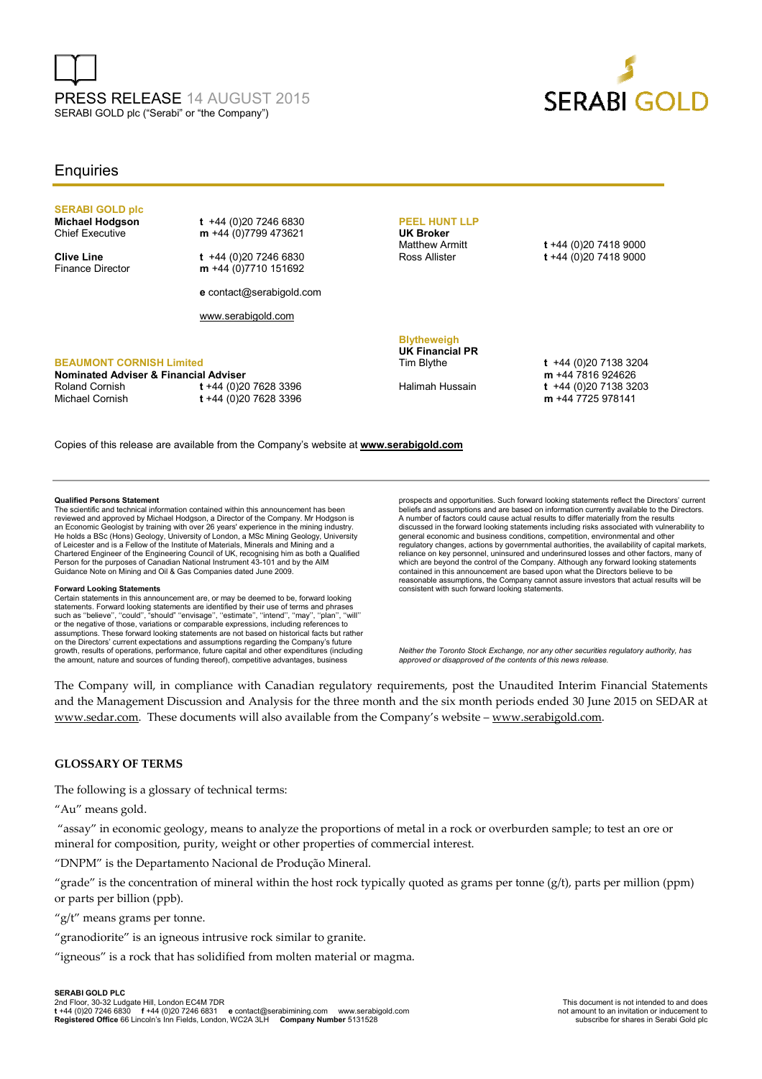

## **Enquiries**

# **SERABI GOLD plc**

**Clive Line t** +44 (0)20 7246 6830

**Michael Hodgson t** +44 (0)20 7246 6830<br>Chief Executive **m** +44 (0)7799 473621 m +44 (0)7799 473621

Finance Director **m** +44 (0)7710 151692

**e** contact@serabigold.com

www.serabigold.com

#### **BEAUMONT CORNISH Limited**

**Nominated Adviser & Financial Adviser**  Roland Cornish **t** +44 (0)20 7628 3396<br>Michael Cornish **t** +44 (0)20 7628 3396 Michael Cornish **t** +44 (0)20 7628 3396

## **PEEL HUNT LLP**

**UK Broker**

Matthew Armitt **t** +44 (0)20 7418 9000 Ross Allister **t** +44 (0)20 7418 9000

#### **Blytheweigh UK Financial PR**

Tim Blythe **t** +44 (0)20 7138 3204 **m** +44 7816 924626 Halimah Hussain **t** +44 (0)20 7138 3203 **m** +44 7725 978141

Copies of this release are available from the Company's website at **www.serabigold.com** 

#### **Qualified Persons Statement**

The scientific and technical information contained within this announcement has been reviewed and approved by Michael Hodgson, a Director of the Company. Mr Hodgson is an Economic Geologist by training with over 26 years' experience in the mining industry.<br>He holds a BSc (Hons) Geology, University of London, a MSc Mining Geology, University<br>of Leicester and is a Fellow of the Institute Chartered Engineer of the Engineering Council of UK, recognising him as both a Qualified Person for the purposes of Canadian National Instrument 43-101 and by the AIM Guidance Note on Mining and Oil & Gas Companies dated June 2009.

#### **Forward Looking Statements**

Certain statements in this announcement are, or may be deemed to be, forward looking statements. Forward looking statements are identified by their use of terms and phrases<br>such as "believe", "could", "should" "envisage", "estimate", "intend", "may", "plan", "will"<br>or the negative of those, variations or c on the Directors' current expectations and assumptions regarding the Company's future growth, results of operations, performance, future capital and other expenditures (including the amount, nature and sources of funding thereof), competitive advantages, business

prospects and opportunities. Such forward looking statements reflect the Directors' current beliefs and assumptions and are based on information currently available to the Directors. A number of factors could cause actual results to differ materially from the results discussed in the forward looking statements including risks associated with vulnerability to general economic and business conditions, competition, environmental and other regulatory changes, actions by governmental authorities, the availability of capital markets, reliance on key personnel, uninsured and underinsured losses and other factors, many of which are beyond the control of the Company. Although any forward looking statements contained in this announcement are based upon what the Directors believe to be reasonable assumptions, the Company cannot assure investors that actual results will be consistent with such forward looking statements.

*Neither the Toronto Stock Exchange, nor any other securities regulatory authority, has approved or disapproved of the contents of this news release.*

The Company will, in compliance with Canadian regulatory requirements, post the Unaudited Interim Financial Statements and the Management Discussion and Analysis for the three month and the six month periods ended 30 June 2015 on SEDAR at www.sedar.com. These documents will also available from the Company's website – www.serabigold.com.

## **GLOSSARY OF TERMS**

The following is a glossary of technical terms:

"Au" means gold.

 "assay" in economic geology, means to analyze the proportions of metal in a rock or overburden sample; to test an ore or mineral for composition, purity, weight or other properties of commercial interest.

"DNPM" is the Departamento Nacional de Produção Mineral.

"grade" is the concentration of mineral within the host rock typically quoted as grams per tonne  $(g/t)$ , parts per million (ppm) or parts per billion (ppb).

"g/t" means grams per tonne.

"granodiorite" is an igneous intrusive rock similar to granite.

"igneous" is a rock that has solidified from molten material or magma.